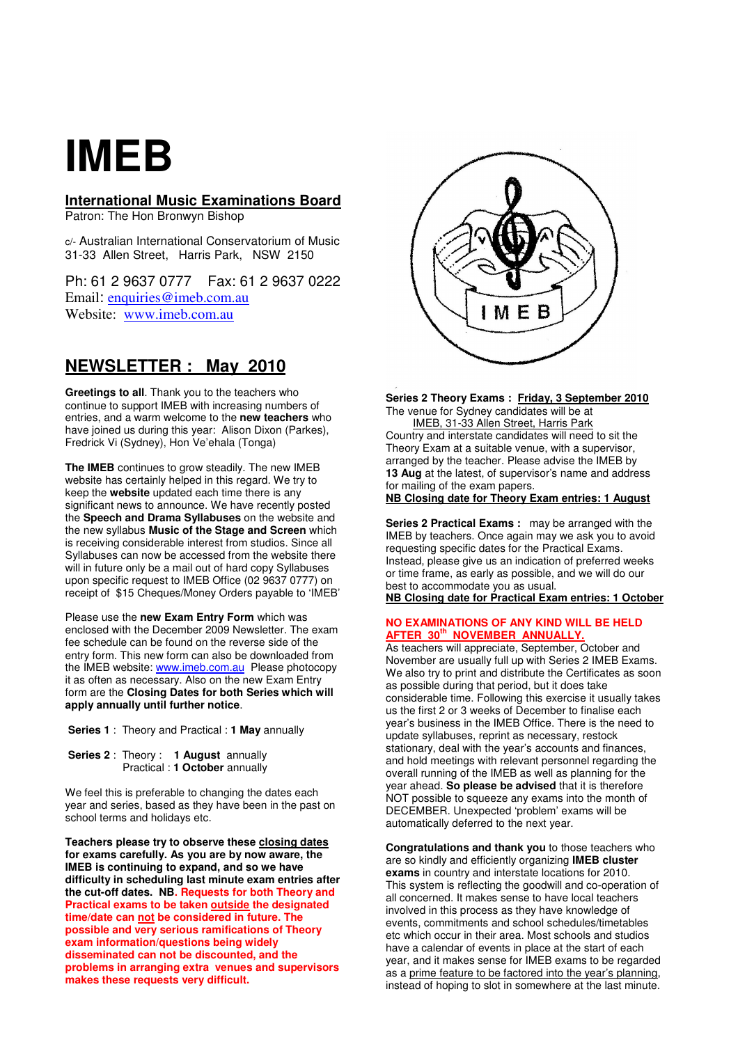# **IMEB**

# **International Music Examinations Board**

Patron: The Hon Bronwyn Bishop

c/- Australian International Conservatorium of Music 31-33 Allen Street, Harris Park, NSW 2150

Ph: 61 2 9637 0777 Fax: 61 2 9637 0222 Email: enquiries@imeb.com.au Website: www.imeb.com.au

# **NEWSLETTER : May 2010**

**Greetings to all**. Thank you to the teachers who continue to support IMEB with increasing numbers of entries, and a warm welcome to the **new teachers** who have joined us during this year: Alison Dixon (Parkes), Fredrick Vi (Sydney), Hon Ve'ehala (Tonga)

**The IMEB** continues to grow steadily. The new IMEB website has certainly helped in this regard. We try to keep the **website** updated each time there is any significant news to announce. We have recently posted the **Speech and Drama Syllabuses** on the website and the new syllabus **Music of the Stage and Screen** which is receiving considerable interest from studios. Since all Syllabuses can now be accessed from the website there will in future only be a mail out of hard copy Syllabuses upon specific request to IMEB Office (02 9637 0777) on receipt of \$15 Cheques/Money Orders payable to 'IMEB'

Please use the **new Exam Entry Form** which was enclosed with the December 2009 Newsletter. The exam fee schedule can be found on the reverse side of the entry form. This new form can also be downloaded from the IMEB website: www.imeb.com.au Please photocopy it as often as necessary. Also on the new Exam Entry form are the **Closing Dates for both Series which will apply annually until further notice**.

- **Series 1** : Theory and Practical : **1 May** annually
- **Series 2** : Theory : **1 August** annually Practical : **1 October** annually

We feel this is preferable to changing the dates each year and series, based as they have been in the past on school terms and holidays etc.

**Teachers please try to observe these closing dates for exams carefully. As you are by now aware, the IMEB is continuing to expand, and so we have difficulty in scheduling last minute exam entries after the cut-off dates. NB. Requests for both Theory and Practical exams to be taken outside the designated time/date can not be considered in future. The possible and very serious ramifications of Theory exam information/questions being widely disseminated can not be discounted, and the problems in arranging extra venues and supervisors makes these requests very difficult.** 



**Series 2 Theory Exams : Friday, 3 September 2010** The venue for Sydney candidates will be at

 IMEB, 31-33 Allen Street, Harris Park Country and interstate candidates will need to sit the Theory Exam at a suitable venue, with a supervisor, arranged by the teacher. Please advise the IMEB by **13 Aug** at the latest, of supervisor's name and address for mailing of the exam papers.

# **NB Closing date for Theory Exam entries: 1 August**

**Series 2 Practical Exams :** may be arranged with the IMEB by teachers. Once again may we ask you to avoid requesting specific dates for the Practical Exams. Instead, please give us an indication of preferred weeks or time frame, as early as possible, and we will do our best to accommodate you as usual. **NB Closing date for Practical Exam entries: 1 October** 

# **NO EXAMINATIONS OF ANY KIND WILL BE HELD**

**AFTER 30th NOVEMBER ANNUALLY.** As teachers will appreciate, September, October and November are usually full up with Series 2 IMEB Exams. We also try to print and distribute the Certificates as soon as possible during that period, but it does take considerable time. Following this exercise it usually takes us the first 2 or 3 weeks of December to finalise each year's business in the IMEB Office. There is the need to update syllabuses, reprint as necessary, restock stationary, deal with the year's accounts and finances, and hold meetings with relevant personnel regarding the overall running of the IMEB as well as planning for the year ahead. **So please be advised** that it is therefore NOT possible to squeeze any exams into the month of DECEMBER. Unexpected 'problem' exams will be automatically deferred to the next year.

**Congratulations and thank you** to those teachers who are so kindly and efficiently organizing **IMEB cluster exams** in country and interstate locations for 2010. This system is reflecting the goodwill and co-operation of all concerned. It makes sense to have local teachers involved in this process as they have knowledge of events, commitments and school schedules/timetables etc which occur in their area. Most schools and studios have a calendar of events in place at the start of each year, and it makes sense for IMEB exams to be regarded as a prime feature to be factored into the year's planning, instead of hoping to slot in somewhere at the last minute.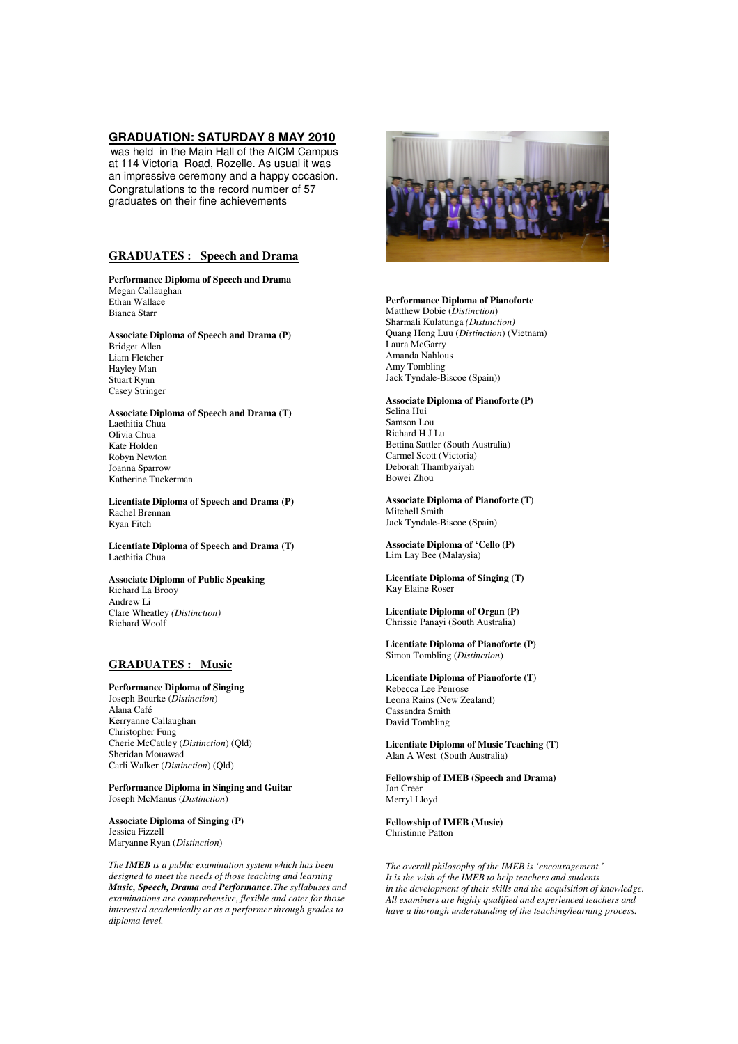## **GRADUATION: SATURDAY 8 MAY 2010**

was held in the Main Hall of the AICM Campus at 114 Victoria Road, Rozelle. As usual it was an impressive ceremony and a happy occasion. Congratulations to the record number of 57 graduates on their fine achievements

# **GRADUATES : Speech and Drama**

 **Performance Diploma of Speech and Drama**  Megan Callaughan Ethan Wallace Bianca Starr

# **Associate Diploma of Speech and Drama (P)**

Bridget Allen Liam Fletcher Hayley Man Stuart Rynn Casey Stringer

**Associate Diploma of Speech and Drama (T)** Laethitia Chua Olivia Chua Kate Holden Robyn Newton Joanna Sparrow Katherine Tuckerman

**Licentiate Diploma of Speech and Drama (P)**  Rachel Brennan Ryan Fitch

**Licentiate Diploma of Speech and Drama (T)**  Laethitia Chua

#### **Associate Diploma of Public Speaking**  Richard La Brooy Andrew Li Clare Wheatley *(Distinction)* Richard Woolf

# **GRADUATES : Music**

#### **Performance Diploma of Singing**

Joseph Bourke (*Distinction*) Alana Café Kerryanne Callaughan Christopher Fung Cherie McCauley (*Distinction*) (Qld) Sheridan Mouawad Carli Walker (*Distinction*) (Qld)

**Performance Diploma in Singing and Guitar**  Joseph McManus (*Distinction*)

**Associate Diploma of Singing (P)**  Jessica Fizzell Maryanne Ryan (*Distinction*)

*The IMEB is a public examination system which has been designed to meet the needs of those teaching and learning Music, Speech, Drama and Performance.The syllabuses and examinations are comprehensive, flexible and cater for those interested academically or as a performer through grades to diploma level.* 



# **Performance Diploma of Pianoforte**

Matthew Dobie (*Distinction*) Sharmali Kulatunga *(Distinction)* Quang Hong Luu (*Distinction*) (Vietnam) Laura McGarry Amanda Nahlous Amy Tombling Jack Tyndale-Biscoe (Spain))

## **Associate Diploma of Pianoforte (P)**  Selina Hui

Samson Lou Richard H J Lu Bettina Sattler (South Australia) Carmel Scott (Victoria) Deborah Thambyaiyah Bowei Zhou

**Associate Diploma of Pianoforte (T)**  Mitchell Smith Jack Tyndale-Biscoe (Spain)

**Associate Diploma of 'Cello (P)**  Lim Lay Bee (Malaysia)

**Licentiate Diploma of Singing (T)**  Kay Elaine Roser

**Licentiate Diploma of Organ (P)**  Chrissie Panayi (South Australia)

**Licentiate Diploma of Pianoforte (P)**  Simon Tombling (*Distinction*)

**Licentiate Diploma of Pianoforte (T)**  Rebecca Lee Penrose Leona Rains (New Zealand)

Cassandra Smith David Tombling

**Licentiate Diploma of Music Teaching (T)**  Alan A West (South Australia)

**Fellowship of IMEB (Speech and Drama)**  Jan Creer Merryl Lloyd

**Fellowship of IMEB (Music)**  Christinne Patton

*The overall philosophy of the IMEB is 'encouragement.' It is the wish of the IMEB to help teachers and students in the development of their skills and the acquisition of knowledge. All examiners are highly qualified and experienced teachers and have a thorough understanding of the teaching/learning process.*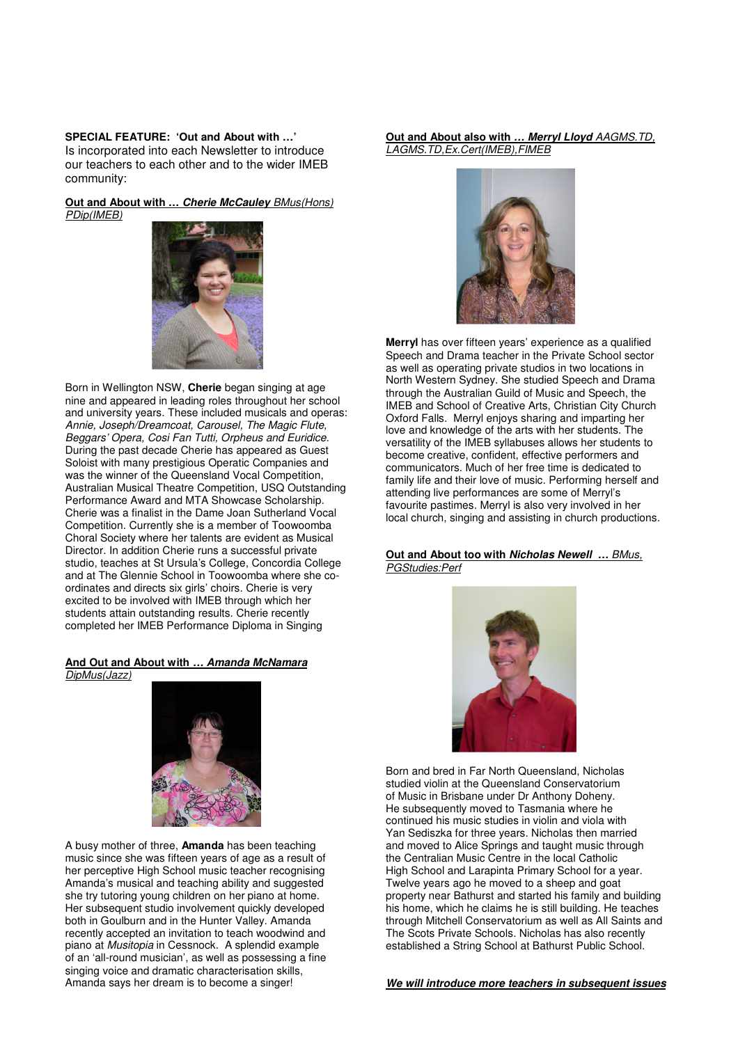**SPECIAL FEATURE: 'Out and About with …'**  Is incorporated into each Newsletter to introduce our teachers to each other and to the wider IMEB community:

**Out and About with … Cherie McCauley** BMus(Hons) PDip(IMEB)



Born in Wellington NSW, **Cherie** began singing at age nine and appeared in leading roles throughout her school and university years. These included musicals and operas: Annie, Joseph/Dreamcoat, Carousel, The Magic Flute, Beggars' Opera, Cosi Fan Tutti, Orpheus and Euridice. During the past decade Cherie has appeared as Guest Soloist with many prestigious Operatic Companies and was the winner of the Queensland Vocal Competition, Australian Musical Theatre Competition, USQ Outstanding Performance Award and MTA Showcase Scholarship. Cherie was a finalist in the Dame Joan Sutherland Vocal Competition. Currently she is a member of Toowoomba Choral Society where her talents are evident as Musical Director. In addition Cherie runs a successful private studio, teaches at St Ursula's College, Concordia College and at The Glennie School in Toowoomba where she coordinates and directs six girls' choirs. Cherie is very excited to be involved with IMEB through which her students attain outstanding results. Cherie recently completed her IMEB Performance Diploma in Singing

# **And Out and About with … Amanda McNamara**  DipMus(Jazz)



A busy mother of three, **Amanda** has been teaching music since she was fifteen years of age as a result of her perceptive High School music teacher recognising Amanda's musical and teaching ability and suggested she try tutoring young children on her piano at home. Her subsequent studio involvement quickly developed both in Goulburn and in the Hunter Valley. Amanda recently accepted an invitation to teach woodwind and piano at Musitopia in Cessnock. A splendid example of an 'all-round musician', as well as possessing a fine singing voice and dramatic characterisation skills, Amanda says her dream is to become a singer!

# **Out and About also with … Merryl Lloyd** AAGMS.TD, LAGMS.TD,Ex.Cert(IMEB),FIMEB



**Merryl** has over fifteen years' experience as a qualified Speech and Drama teacher in the Private School sector as well as operating private studios in two locations in North Western Sydney. She studied Speech and Drama through the Australian Guild of Music and Speech, the IMEB and School of Creative Arts, Christian City Church Oxford Falls. Merryl enjoys sharing and imparting her love and knowledge of the arts with her students. The versatility of the IMEB syllabuses allows her students to become creative, confident, effective performers and communicators. Much of her free time is dedicated to family life and their love of music. Performing herself and attending live performances are some of Merryl's favourite pastimes. Merryl is also very involved in her local church, singing and assisting in church productions.

# **Out and About too with Nicholas Newell …** BMus, PGStudies:Perf



Born and bred in Far North Queensland, Nicholas studied violin at the Queensland Conservatorium of Music in Brisbane under Dr Anthony Doheny. He subsequently moved to Tasmania where he continued his music studies in violin and viola with Yan Sediszka for three years. Nicholas then married and moved to Alice Springs and taught music through the Centralian Music Centre in the local Catholic High School and Larapinta Primary School for a year. Twelve years ago he moved to a sheep and goat property near Bathurst and started his family and building his home, which he claims he is still building. He teaches through Mitchell Conservatorium as well as All Saints and The Scots Private Schools. Nicholas has also recently established a String School at Bathurst Public School.

**We will introduce more teachers in subsequent issues**